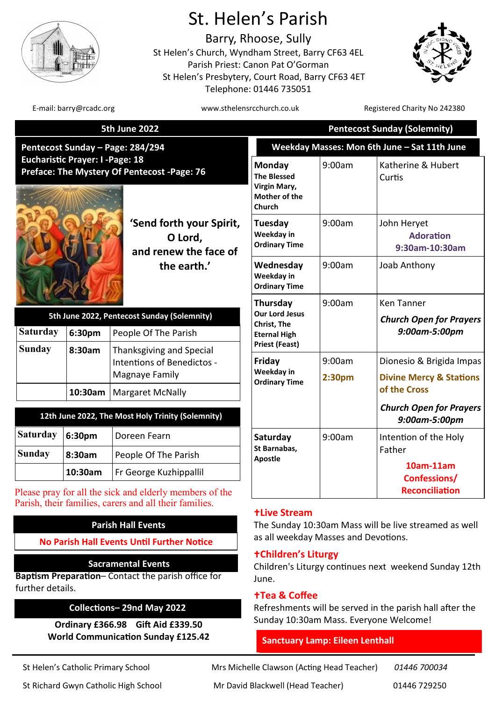

# St. Helen's Parish

Barry, Rhoose, Sully St Helen's Church, Wyndham Street, Barry CF63 4EL Parish Priest: Canon Pat O'Gorman St Helen's Presbytery, Court Road, Barry CF63 4ET Telephone: 01446 735051



E-mail: barry@rcadc.org www.sthelensrcchurch.co.uk Registered Charity No 242380

| <b>5th June 2022</b>                                                                             |         |                                                                          | <b>Pentecost Sunday (Solemnity)</b>                                            |                                              |                                                                |  |
|--------------------------------------------------------------------------------------------------|---------|--------------------------------------------------------------------------|--------------------------------------------------------------------------------|----------------------------------------------|----------------------------------------------------------------|--|
| Pentecost Sunday – Page: 284/294                                                                 |         |                                                                          |                                                                                | Weekday Masses: Mon 6th June - Sat 11th June |                                                                |  |
| <b>Eucharistic Prayer: I -Page: 18</b><br>Preface: The Mystery Of Pentecost -Page: 76<br>O Lord, |         |                                                                          | Monday<br><b>The Blessed</b><br>Virgin Mary,<br>Mother of the<br><b>Church</b> | 9:00am                                       | Katherine & Hubert<br>Curtis                                   |  |
|                                                                                                  |         | 'Send forth your Spirit,<br>and renew the face of                        | Tuesday<br>Weekday in<br><b>Ordinary Time</b>                                  | 9:00am                                       | John Heryet<br><b>Adoration</b><br>9:30am-10:30am              |  |
|                                                                                                  |         | the earth.'                                                              | Wednesday<br>Weekday in<br><b>Ordinary Time</b>                                | 9:00am                                       | Joab Anthony                                                   |  |
|                                                                                                  |         |                                                                          | Thursday<br><b>Our Lord Jesus</b><br>Christ, The                               | 9:00am                                       | Ken Tanner                                                     |  |
| 5th June 2022, Pentecost Sunday (Solemnity)                                                      |         |                                                                          |                                                                                |                                              | <b>Church Open for Prayers</b>                                 |  |
| Saturday                                                                                         | 6:30pm  | People Of The Parish                                                     | <b>Eternal High</b>                                                            |                                              | 9:00am-5:00pm                                                  |  |
| Sunday                                                                                           | 8:30am  | Thanksgiving and Special<br>Intentions of Benedictos -<br>Magnaye Family | <b>Priest (Feast)</b><br>Friday<br>Weekday in<br><b>Ordinary Time</b>          | 9:00am<br>2:30 <sub>pm</sub>                 | Dionesio & Brigida Impas<br><b>Divine Mercy &amp; Stations</b> |  |
|                                                                                                  | 10:30am | <b>Margaret McNally</b>                                                  |                                                                                |                                              | of the Cross                                                   |  |
|                                                                                                  |         | 12th June 2022, The Most Holy Trinity (Solemnity)                        |                                                                                |                                              | <b>Church Open for Prayers</b><br>9:00am-5:00pm                |  |
| Saturday                                                                                         | 6:30pm  | Doreen Fearn                                                             | Saturday<br>St Barnabas,<br><b>Apostle</b>                                     | 9:00am                                       | Intention of the Holy                                          |  |
| Sunday                                                                                           | 8:30am  | People Of The Parish                                                     |                                                                                |                                              | Father                                                         |  |
|                                                                                                  | 10:30am | Fr George Kuzhippallil                                                   |                                                                                |                                              | 10am-11am<br>Confessions/                                      |  |
|                                                                                                  |         | lease pray for all the sick and elderly members of the                   |                                                                                |                                              | <b>Reconciliation</b>                                          |  |

#### **Live Stream**

The Sunday 10:30am Mass will be live streamed as well as all weekday Masses and Devotions.

#### **Children's Liturgy**

Children's Liturgy continues next weekend Sunday 12th June.

#### **Tea & Coffee**

Refreshments will be served in the parish hall after the Sunday 10:30am Mass. Everyone Welcome!

### **Sanctuary Lamp: Eileen Lenthall**

St Helen's Catholic Primary School Mrs Michelle Clawson (Acting Head Teacher) *01446 700034*

St Richard Gwyn Catholic High School Mr David Blackwell (Head Teacher) 01446 729250



| 5th June 2022, Pentecost Sunday (Solemnity) |         |                                                                            |  |  |  |
|---------------------------------------------|---------|----------------------------------------------------------------------------|--|--|--|
| Saturday<br>6:30pm                          |         | People Of The Parish                                                       |  |  |  |
| <b>Sunday</b>                               | 8:30am  | Thanksgiving and Special<br>  Intentions of Benedictos -<br>Magnaye Family |  |  |  |
|                                             | 10:30am | <b>Margaret McNally</b>                                                    |  |  |  |
|                                             |         |                                                                            |  |  |  |
|                                             |         |                                                                            |  |  |  |

# 12th Ju

| <b>Saturday</b><br>6:30 <sub>pm</sub> |         | Doreen Fearn                  |  |
|---------------------------------------|---------|-------------------------------|--|
| Sunday<br>8:30am                      |         | People Of The Parish          |  |
|                                       | 10:30am | <b>Fr George Kuzhippallil</b> |  |

Please pray for Parish, their families, carers and all their families.

# **Parish Hall Events**

**No Parish Hall Events Until Further Notice** 

# **Sacramental Events**

**Baptism Preparation**– Contact the parish office for further details.

# **Collections– 29nd May 2022**

**Ordinary £366.98 Gift Aid £339.50 World Communication Sunday £125.42**